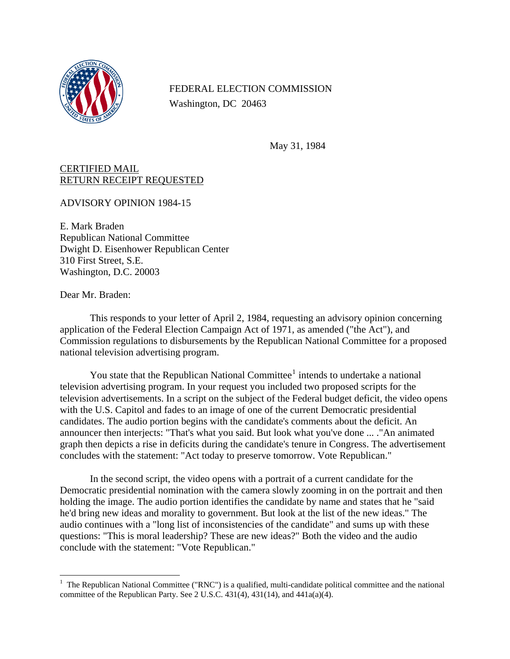

FEDERAL ELECTION COMMISSION Washington, DC 20463

May 31, 1984

## CERTIFIED MAIL RETURN RECEIPT REQUESTED

ADVISORY OPINION 1984-15

E. Mark Braden Republican National Committee Dwight D. Eisenhower Republican Center 310 First Street, S.E. Washington, D.C. 20003

Dear Mr. Braden:

This responds to your letter of April 2, 1984, requesting an advisory opinion concerning application of the Federal Election Campaign Act of 1971, as amended ("the Act"), and Commission regulations to disbursements by the Republican National Committee for a proposed national television advertising program.

You state that the Republican National Committee<sup>[1](#page-0-0)</sup> intends to undertake a national television advertising program. In your request you included two proposed scripts for the television advertisements. In a script on the subject of the Federal budget deficit, the video opens with the U.S. Capitol and fades to an image of one of the current Democratic presidential candidates. The audio portion begins with the candidate's comments about the deficit. An announcer then interjects: "That's what you said. But look what you've done ... ."An animated graph then depicts a rise in deficits during the candidate's tenure in Congress. The advertisement concludes with the statement: "Act today to preserve tomorrow. Vote Republican."

In the second script, the video opens with a portrait of a current candidate for the Democratic presidential nomination with the camera slowly zooming in on the portrait and then holding the image. The audio portion identifies the candidate by name and states that he "said he'd bring new ideas and morality to government. But look at the list of the new ideas." The audio continues with a "long list of inconsistencies of the candidate" and sums up with these questions: "This is moral leadership? These are new ideas?" Both the video and the audio conclude with the statement: "Vote Republican."

<span id="page-0-0"></span> 1 The Republican National Committee ("RNC") is a qualified, multi-candidate political committee and the national committee of the Republican Party. See 2 U.S.C.  $431(4)$ ,  $431(14)$ , and  $441a(a)(4)$ .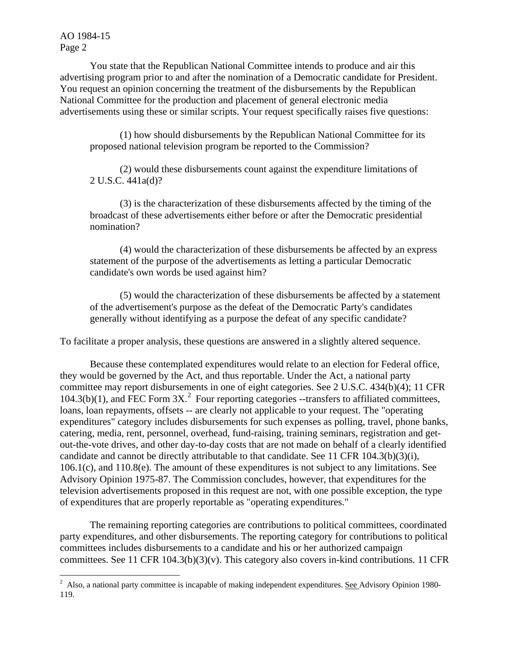You state that the Republican National Committee intends to produce and air this advertising program prior to and after the nomination of a Democratic candidate for President. You request an opinion concerning the treatment of the disbursements by the Republican National Committee for the production and placement of general electronic media advertisements using these or similar scripts. Your request specifically raises five questions:

(1) how should disbursements by the Republican National Committee for its proposed national television program be reported to the Commission?

(2) would these disbursements count against the expenditure limitations of 2 U.S.C. 441a(d)?

(3) is the characterization of these disbursements affected by the timing of the broadcast of these advertisements either before or after the Democratic presidential nomination?

(4) would the characterization of these disbursements be affected by an express statement of the purpose of the advertisements as letting a particular Democratic candidate's own words be used against him?

(5) would the characterization of these disbursements be affected by a statement of the advertisement's purpose as the defeat of the Democratic Party's candidates generally without identifying as a purpose the defeat of any specific candidate?

To facilitate a proper analysis, these questions are answered in a slightly altered sequence.

Because these contemplated expenditures would relate to an election for Federal office, they would be governed by the Act, and thus reportable. Under the Act, a national party committee may report disbursements in one of eight categories. See 2 U.S.C. 434(b)(4); 11 CFR  $104.3(b)(1)$ , and FEC Form  $3X<sup>2</sup>$  $3X<sup>2</sup>$  $3X<sup>2</sup>$  Four reporting categories --transfers to affiliated committees, loans, loan repayments, offsets -- are clearly not applicable to your request. The "operating expenditures" category includes disbursements for such expenses as polling, travel, phone banks, catering, media, rent, personnel, overhead, fund-raising, training seminars, registration and getout-the-vote drives, and other day-to-day costs that are not made on behalf of a clearly identified candidate and cannot be directly attributable to that candidate. See 11 CFR 104.3(b)(3)(i), 106.1(c), and 110.8(e). The amount of these expenditures is not subject to any limitations. See Advisory Opinion 1975-87. The Commission concludes, however, that expenditures for the television advertisements proposed in this request are not, with one possible exception, the type of expenditures that are properly reportable as "operating expenditures."

The remaining reporting categories are contributions to political committees, coordinated party expenditures, and other disbursements. The reporting category for contributions to political committees includes disbursements to a candidate and his or her authorized campaign committees. See 11 CFR 104.3(b)(3)(v). This category also covers in-kind contributions. 11 CFR

<span id="page-1-0"></span><sup>&</sup>lt;sup>2</sup> Also, a national party committee is incapable of making independent expenditures. <u>See Advisory Opinion</u> 1980-119.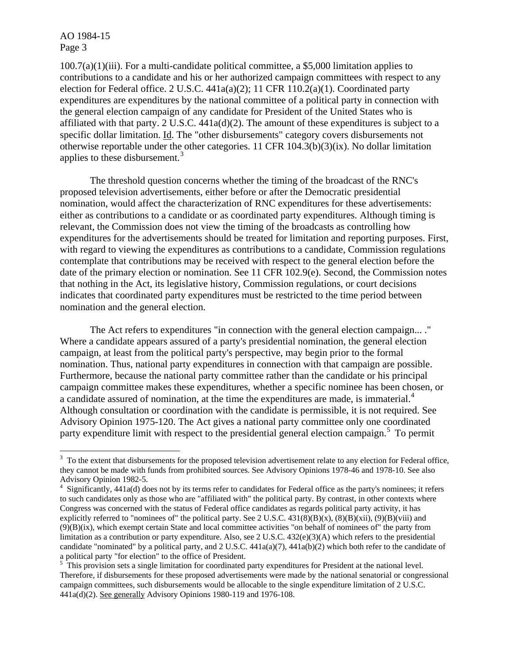1

100.7(a)(1)(iii). For a multi-candidate political committee, a \$5,000 limitation applies to contributions to a candidate and his or her authorized campaign committees with respect to any election for Federal office. 2 U.S.C. 441a(a)(2); 11 CFR 110.2(a)(1). Coordinated party expenditures are expenditures by the national committee of a political party in connection with the general election campaign of any candidate for President of the United States who is affiliated with that party. 2 U.S.C. 441a(d)(2). The amount of these expenditures is subject to a specific dollar limitation. Id. The "other disbursements" category covers disbursements not otherwise reportable under the other categories. 11 CFR 104.3(b)(3)(ix). No dollar limitation applies to these disbursement.<sup>[3](#page-2-0)</sup>

The threshold question concerns whether the timing of the broadcast of the RNC's proposed television advertisements, either before or after the Democratic presidential nomination, would affect the characterization of RNC expenditures for these advertisements: either as contributions to a candidate or as coordinated party expenditures. Although timing is relevant, the Commission does not view the timing of the broadcasts as controlling how expenditures for the advertisements should be treated for limitation and reporting purposes. First, with regard to viewing the expenditures as contributions to a candidate, Commission regulations contemplate that contributions may be received with respect to the general election before the date of the primary election or nomination. See 11 CFR 102.9(e). Second, the Commission notes that nothing in the Act, its legislative history, Commission regulations, or court decisions indicates that coordinated party expenditures must be restricted to the time period between nomination and the general election.

The Act refers to expenditures "in connection with the general election campaign... ." Where a candidate appears assured of a party's presidential nomination, the general election campaign, at least from the political party's perspective, may begin prior to the formal nomination. Thus, national party expenditures in connection with that campaign are possible. Furthermore, because the national party committee rather than the candidate or his principal campaign committee makes these expenditures, whether a specific nominee has been chosen, or a candidate assured of nomination, at the time the expenditures are made, is immaterial.<sup>[4](#page-2-1)</sup> Although consultation or coordination with the candidate is permissible, it is not required. See Advisory Opinion 1975-120. The Act gives a national party committee only one coordinated party expenditure limit with respect to the presidential general election campaign.<sup>[5](#page-2-2)</sup> To permit

<span id="page-2-0"></span> $3\,$  To the extent that disbursements for the proposed television advertisement relate to any election for Federal office, they cannot be made with funds from prohibited sources. See Advisory Opinions 1978-46 and 1978-10. See also Advisory Opinion 1982-5.<br><sup>4</sup> Significantly, 441a(d) does not by its terms refer to candidates for Federal office as the party's nominees; it refers

<span id="page-2-1"></span>to such candidates only as those who are "affiliated with" the political party. By contrast, in other contexts where Congress was concerned with the status of Federal office candidates as regards political party activity, it has explicitly referred to "nominees of" the political party. See 2 U.S.C.  $431(8)(B)(x)$ ,  $(8)(B)(xii)$ ,  $(9)(B)(viii)$  and (9)(B)(ix), which exempt certain State and local committee activities "on behalf of nominees of" the party from limitation as a contribution or party expenditure. Also, see 2 U.S.C.  $432(e)(3)(A)$  which refers to the presidential candidate "nominated" by a political party, and 2 U.S.C.  $441a(a)(7)$ ,  $441a(b)(2)$  which both refer to the candidate of a political party "for election" to the office of President.

<span id="page-2-2"></span> $5$  This provision sets a single limitation for coordinated party expenditures for President at the national level. Therefore, if disbursements for these proposed advertisements were made by the national senatorial or congressional campaign committees, such disbursements would be allocable to the single expenditure limitation of 2 U.S.C. 441a(d)(2). See generally Advisory Opinions 1980-119 and 1976-108.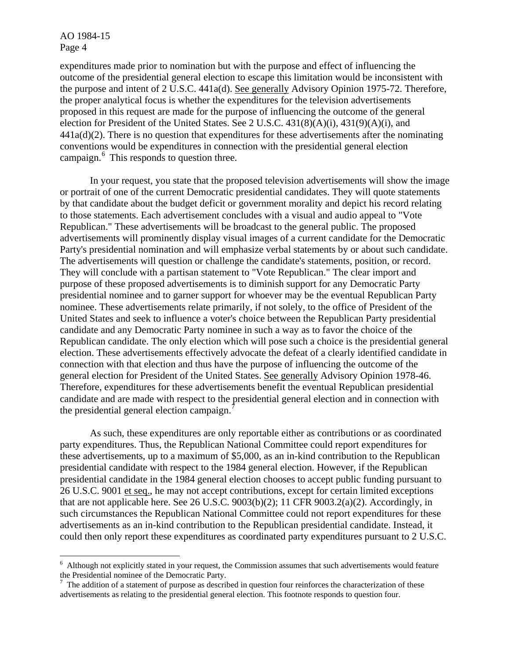$\overline{a}$ 

expenditures made prior to nomination but with the purpose and effect of influencing the outcome of the presidential general election to escape this limitation would be inconsistent with the purpose and intent of 2 U.S.C. 441a(d). See generally Advisory Opinion 1975-72. Therefore, the proper analytical focus is whether the expenditures for the television advertisements proposed in this request are made for the purpose of influencing the outcome of the general election for President of the United States. See 2 U.S.C. 431(8)(A)(i), 431(9)(A)(i), and  $441a(d)(2)$ . There is no question that expenditures for these advertisements after the nominating conventions would be expenditures in connection with the presidential general election campaign.<sup>[6](#page-3-0)</sup> This responds to question three.

In your request, you state that the proposed television advertisements will show the image or portrait of one of the current Democratic presidential candidates. They will quote statements by that candidate about the budget deficit or government morality and depict his record relating to those statements. Each advertisement concludes with a visual and audio appeal to "Vote Republican." These advertisements will be broadcast to the general public. The proposed advertisements will prominently display visual images of a current candidate for the Democratic Party's presidential nomination and will emphasize verbal statements by or about such candidate. The advertisements will question or challenge the candidate's statements, position, or record. They will conclude with a partisan statement to "Vote Republican." The clear import and purpose of these proposed advertisements is to diminish support for any Democratic Party presidential nominee and to garner support for whoever may be the eventual Republican Party nominee. These advertisements relate primarily, if not solely, to the office of President of the United States and seek to influence a voter's choice between the Republican Party presidential candidate and any Democratic Party nominee in such a way as to favor the choice of the Republican candidate. The only election which will pose such a choice is the presidential general election. These advertisements effectively advocate the defeat of a clearly identified candidate in connection with that election and thus have the purpose of influencing the outcome of the general election for President of the United States. See generally Advisory Opinion 1978-46. Therefore, expenditures for these advertisements benefit the eventual Republican presidential candidate and are made with respect to the presidential general election and in connection with the presidential general election campaign. $^{7}$  $^{7}$  $^{7}$ 

As such, these expenditures are only reportable either as contributions or as coordinated party expenditures. Thus, the Republican National Committee could report expenditures for these advertisements, up to a maximum of \$5,000, as an in-kind contribution to the Republican presidential candidate with respect to the 1984 general election. However, if the Republican presidential candidate in the 1984 general election chooses to accept public funding pursuant to 26 U.S.C. 9001 et seq., he may not accept contributions, except for certain limited exceptions that are not applicable here. See 26 U.S.C.  $9003(b)(2)$ ; 11 CFR  $9003.2(a)(2)$ . Accordingly, in such circumstances the Republican National Committee could not report expenditures for these advertisements as an in-kind contribution to the Republican presidential candidate. Instead, it could then only report these expenditures as coordinated party expenditures pursuant to 2 U.S.C.

<span id="page-3-0"></span> $6$  Although not explicitly stated in your request, the Commission assumes that such advertisements would feature the Presidential nominee of the Democratic Party.

<span id="page-3-1"></span> $<sup>7</sup>$  The addition of a statement of purpose as described in question four reinforces the characterization of these</sup> advertisements as relating to the presidential general election. This footnote responds to question four.